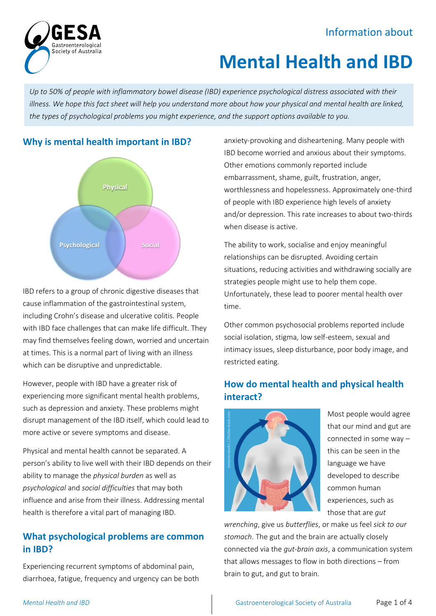# Information about



# **Mental Health and IBD**

*Up to 50% of people with inflammatory bowel disease (IBD) experience psychological distress associated with their illness. We hope this fact sheet will help you understand more about how your physical and mental health are linked, the types of psychological problems you might experience, and the support options available to you.*



IBD refers to a group of chronic digestive diseases that cause inflammation of the gastrointestinal system, including Crohn's disease and ulcerative colitis. People with IBD face challenges that can make life difficult. They may find themselves feeling down, worried and uncertain at times. This is a normal part of living with an illness which can be disruptive and unpredictable.

However, people with IBD have a greater risk of experiencing more significant mental health problems, such as depression and anxiety. These problems might disrupt management of the IBD itself, which could lead to more active or severe symptoms and disease.

Physical and mental health cannot be separated. A person's ability to live well with their IBD depends on their ability to manage the *physical burden* as well as *psychological* and *social difficulties* that may both influence and arise from their illness. Addressing mental health is therefore a vital part of managing IBD.

# **What psychological problems are common in IBD?**

Experiencing recurrent symptoms of abdominal pain, diarrhoea, fatigue, frequency and urgency can be both anxiety-provoking and disheartening. Many people with IBD become worried and anxious about their symptoms. Other emotions commonly reported include embarrassment, shame, guilt, frustration, anger, worthlessness and hopelessness. Approximately one-third of people with IBD experience high levels of anxiety and/or depression. This rate increases to about two-thirds when disease is active.

The ability to work, socialise and enjoy meaningful relationships can be disrupted. Avoiding certain situations, reducing activities and withdrawing socially are strategies people might use to help them cope. Unfortunately, these lead to poorer mental health over time.

Other common psychosocial problems reported include social isolation, stigma, low self-esteem, sexual and intimacy issues, sleep disturbance, poor body image, and restricted eating.

# **How do mental health and physical health interact?**



Most people would agree that our mind and gut are connected in some way – this can be seen in the language we have developed to describe common human experiences, such as those that are *gut* 

*wrenching*, give us *butterflies*, or make us feel *sick to our stomach*. The gut and the brain are actually closely connected via the *gut-brain axis*, a communication system that allows messages to flow in both directions – from brain to gut, and gut to brain.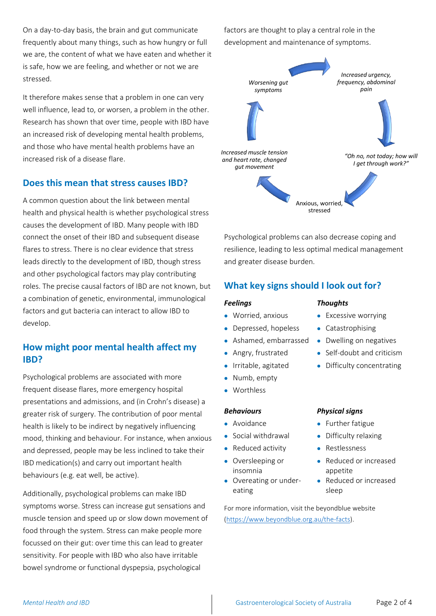On a day-to-day basis, the brain and gut communicate frequently about many things, such as how hungry or full we are, the content of what we have eaten and whether it is safe, how we are feeling, and whether or not we are stressed.

It therefore makes sense that a problem in one can very well influence, lead to, or worsen, a problem in the other. Research has shown that over time, people with IBD have an increased risk of developing mental health problems, and those who have mental health problems have an increased risk of a disease flare.

### **Does this mean that stress causes IBD?**

A common question about the link between mental health and physical health is whether psychological stress causes the development of IBD. Many people with IBD connect the onset of their IBD and subsequent disease flares to stress. There is no clear evidence that stress leads directly to the development of IBD, though stress and other psychological factors may play contributing roles. The precise causal factors of IBD are not known, but a combination of genetic, environmental, immunological factors and gut bacteria can interact to allow IBD to develop.

# **How might poor mental health affect my IBD?**

Psychological problems are associated with more frequent disease flares, more emergency hospital presentations and admissions, and (in Crohn's disease) a greater risk of surgery. The contribution of poor mental health is likely to be indirect by negatively influencing mood, thinking and behaviour. For instance, when anxious and depressed, people may be less inclined to take their IBD medication(s) and carry out important health behaviours (e.g. eat well, be active).

Additionally, psychological problems can make IBD symptoms worse. Stress can increase gut sensations and muscle tension and speed up or slow down movement of food through the system. Stress can make people more focussed on their gut: over time this can lead to greater sensitivity. For people with IBD who also have irritable bowel syndrome or functional dyspepsia, psychological

factors are thought to play a central role in the development and maintenance of symptoms.



Psychological problems can also decrease coping and resilience, leading to less optimal medical management and greater disease burden.

# **What key signs should I look out for?**

#### *Feelings Thoughts*

- Worried, anxious Excessive worrying
- Depressed, hopeless Catastrophising
- Ashamed, embarrassed Dwelling on negatives
- Angry, frustrated Self-doubt and criticism
- Irritable, agitated Difficulty concentrating
- Numb, empty
- Worthless

#### *Behaviours Physical signs*

- 
- Social withdrawal Difficulty relaxing
- Reduced activity Restlessness
- Oversleeping or insomnia
- Overeating or undereating

- Avoidance • Further fatigue
	-
	-
	- Reduced or increased appetite
	- Reduced or increased sleep

For more information, visit the beyondblue website [\(https://www.beyondblue.org.au/the-facts\)](https://www.beyondblue.org.au/the-facts).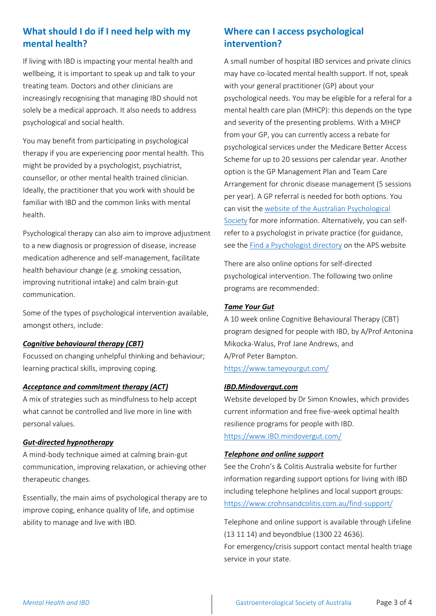# **What should I do if I need help with my mental health?**

If living with IBD is impacting your mental health and wellbeing, it is important to speak up and talk to your treating team. Doctors and other clinicians are increasingly recognising that managing IBD should not solely be a medical approach. It also needs to address psychological and social health.

You may benefit from participating in psychological therapy if you are experiencing poor mental health. This might be provided by a psychologist, psychiatrist, counsellor, or other mental health trained clinician. Ideally, the practitioner that you work with should be familiar with IBD and the common links with mental health.

Psychological therapy can also aim to improve adjustment to a new diagnosis or progression of disease, increase medication adherence and self-management, facilitate health behaviour change (e.g. smoking cessation, improving nutritional intake) and calm brain-gut communication.

Some of the types of psychological intervention available, amongst others, include:

#### *Cognitive behavioural therapy (CBT)*

Focussed on changing unhelpful thinking and behaviour; learning practical skills, improving coping.

#### *Acceptance and commitment therapy (ACT)*

A mix of strategies such as mindfulness to help accept what cannot be controlled and live more in line with personal values.

#### *Gut-directed hypnotherapy*

A mind-body technique aimed at calming brain-gut communication, improving relaxation, or achieving other therapeutic changes.

Essentially, the main aims of psychological therapy are to improve coping, enhance quality of life, and optimise ability to manage and live with IBD.

# **Where can I access psychological intervention?**

A small number of hospital IBD services and private clinics may have co-located mental health support. If not, speak with your general practitioner (GP) about your psychological needs. You may be eligible for a referal for a mental health care plan (MHCP): this depends on the type and severity of the presenting problems. With a MHCP from your GP, you can currently access a rebate for psychological services under the Medicare Better Access Scheme for up to 20 sessions per calendar year. Another option is the GP Management Plan and Team Care Arrangement for chronic disease management (5 sessions per year). A GP referral is needed for both options. You can visit th[e website of the Australian Psychological](https://www.psychology.org.au/for-the-public/Medicare-rebates-psychological-services)  [Society](https://www.psychology.org.au/for-the-public/Medicare-rebates-psychological-services) for more information. Alternatively, you can selfrefer to a psychologist in private practice (for guidance, see the [Find a Psychologist directory](https://www.psychology.org.au/Find-a-Psychologist) on the APS website

There are also online options for self-directed psychological intervention. The following two online programs are recommended:

#### *Tame Your Gut*

A 10 week online Cognitive Behavioural Therapy (CBT) program designed for people with IBD, by A/Prof Antonina Mikocka-Walus, Prof Jane Andrews, and A/Prof Peter Bampton. <https://www.tameyourgut.com/>

#### *IBD.Mindovergut.com*

Website developed by Dr Simon Knowles, which provides current information and free five-week optimal health resilience programs for people with IBD.

[https://www.IBD.mindovergut.com/](https://www.ibd.mindovergut.com/)

#### *Telephone and online support*

See the Crohn's & Colitis Australia website for further information regarding support options for living with IBD including telephone helplines and local support groups: <https://www.crohnsandcolitis.com.au/find-support/>

Telephone and online support is available through Lifeline (13 11 14) and beyondblue (1300 22 4636). For emergency/crisis support contact mental health triage service in your state.